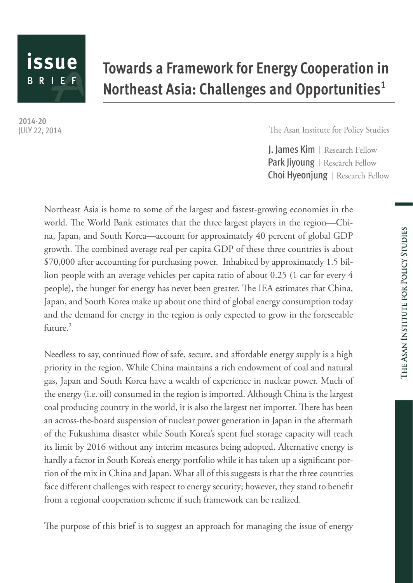# issue **BRIEF**

## **Towards a Framework for Energy Cooperation in Northeast Asia: Challenges and Opportunities1**

**2014-20** JULY 22, 2014

The Asan Institute for Policy Studies

J. James Kim | Research Fellow Park Jiyoung | Research Fellow Choi Hyeonjung | Research Fellow

Northeast Asia is home to some of the largest and fastest-growing economies in the world. The World Bank estimates that the three largest players in the region—China, Japan, and South Korea—account for approximately 40 percent of global GDP growth. The combined average real per capita GDP of these three countries is about \$70,000 after accounting for purchasing power. Inhabited by approximately 1.5 billion people with an average vehicles per capita ratio of about 0.25 (1 car for every 4 people), the hunger for energy has never been greater. The IEA estimates that China, Japan, and South Korea make up about one third of global energy consumption today and the demand for energy in the region is only expected to grow in the foreseeable future. $2$ 

Needless to say, continued flow of safe, secure, and affordable energy supply is a high priority in the region. While China maintains a rich endowment of coal and natural gas, Japan and South Korea have a wealth of experience in nuclear power. Much of the energy (i.e. oil) consumed in the region is imported. Although China is the largest coal producing country in the world, it is also the largest net importer. There has been an across-the-board suspension of nuclear power generation in Japan in the aftermath of the Fukushima disaster while South Korea's spent fuel storage capacity will reach its limit by 2016 without any interim measures being adopted. Alternative energy is hardly a factor in South Korea's energy portfolio while it has taken up a significant portion of the mix in China and Japan. What all of this suggests is that the three countries face different challenges with respect to energy security; however, they stand to benefit from a regional cooperation scheme if such framework can be realized.

The purpose of this brief is to suggest an approach for managing the issue of energy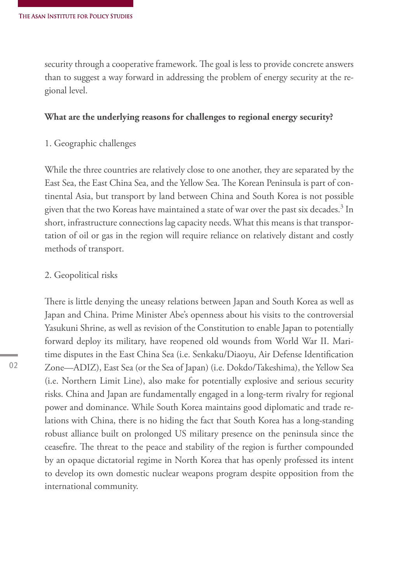security through a cooperative framework. The goal is less to provide concrete answers than to suggest a way forward in addressing the problem of energy security at the regional level.

#### **What are the underlying reasons for challenges to regional energy security?**

1. Geographic challenges

While the three countries are relatively close to one another, they are separated by the East Sea, the East China Sea, and the Yellow Sea. The Korean Peninsula is part of continental Asia, but transport by land between China and South Korea is not possible given that the two Koreas have maintained a state of war over the past six decades. $^3$  In short, infrastructure connections lag capacity needs. What this means is that transportation of oil or gas in the region will require reliance on relatively distant and costly methods of transport.

#### 2. Geopolitical risks

There is little denying the uneasy relations between Japan and South Korea as well as Japan and China. Prime Minister Abe's openness about his visits to the controversial Yasukuni Shrine, as well as revision of the Constitution to enable Japan to potentially forward deploy its military, have reopened old wounds from World War II. Maritime disputes in the East China Sea (i.e. Senkaku/Diaoyu, Air Defense Identification Zone—ADIZ), East Sea (or the Sea of Japan) (i.e. Dokdo/Takeshima), the Yellow Sea (i.e. Northern Limit Line), also make for potentially explosive and serious security risks. China and Japan are fundamentally engaged in a long-term rivalry for regional power and dominance. While South Korea maintains good diplomatic and trade relations with China, there is no hiding the fact that South Korea has a long-standing robust alliance built on prolonged US military presence on the peninsula since the ceasefire. The threat to the peace and stability of the region is further compounded by an opaque dictatorial regime in North Korea that has openly professed its intent to develop its own domestic nuclear weapons program despite opposition from the international community.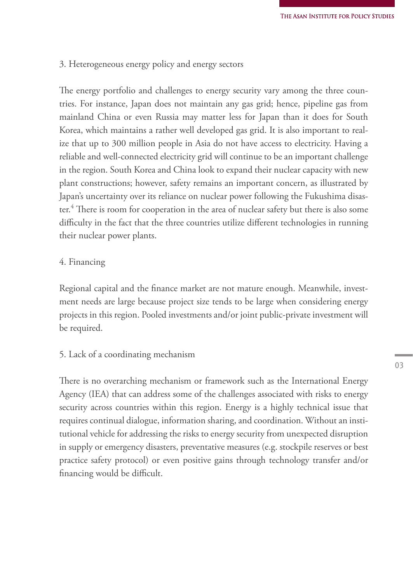#### 3. Heterogeneous energy policy and energy sectors

The energy portfolio and challenges to energy security vary among the three countries. For instance, Japan does not maintain any gas grid; hence, pipeline gas from mainland China or even Russia may matter less for Japan than it does for South Korea, which maintains a rather well developed gas grid. It is also important to realize that up to 300 million people in Asia do not have access to electricity. Having a reliable and well-connected electricity grid will continue to be an important challenge in the region. South Korea and China look to expand their nuclear capacity with new plant constructions; however, safety remains an important concern, as illustrated by Japan's uncertainty over its reliance on nuclear power following the Fukushima disaster.4 There is room for cooperation in the area of nuclear safety but there is also some difficulty in the fact that the three countries utilize different technologies in running their nuclear power plants.

#### 4. Financing

Regional capital and the finance market are not mature enough. Meanwhile, investment needs are large because project size tends to be large when considering energy projects in this region. Pooled investments and/or joint public-private investment will be required.

#### 5. Lack of a coordinating mechanism

There is no overarching mechanism or framework such as the International Energy Agency (IEA) that can address some of the challenges associated with risks to energy security across countries within this region. Energy is a highly technical issue that requires continual dialogue, information sharing, and coordination. Without an institutional vehicle for addressing the risks to energy security from unexpected disruption in supply or emergency disasters, preventative measures (e.g. stockpile reserves or best practice safety protocol) or even positive gains through technology transfer and/or financing would be difficult.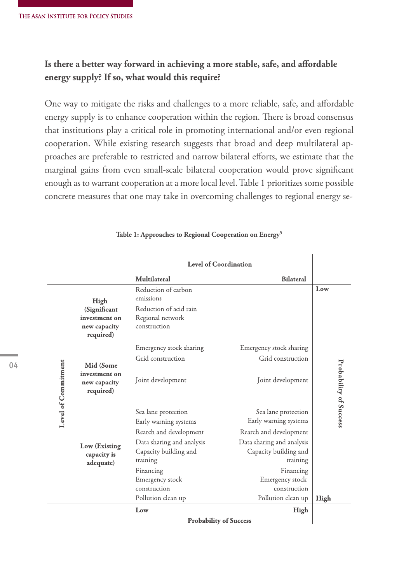### **Is there a better way forward in achieving a more stable, safe, and affordable energy supply? If so, what would this require?**

One way to mitigate the risks and challenges to a more reliable, safe, and affordable energy supply is to enhance cooperation within the region. There is broad consensus that institutions play a critical role in promoting international and/or even regional cooperation. While existing research suggests that broad and deep multilateral approaches are preferable to restricted and narrow bilateral efforts, we estimate that the marginal gains from even small-scale bilateral cooperation would prove significant enough as to warrant cooperation at a more local level. Table 1 prioritizes some possible concrete measures that one may take in overcoming challenges to regional energy se-

|                     |                                                            | <b>Level of Coordination</b>                                   |                                                                |                        |
|---------------------|------------------------------------------------------------|----------------------------------------------------------------|----------------------------------------------------------------|------------------------|
|                     |                                                            | Multilateral                                                   | <b>Bilateral</b>                                               |                        |
| Level of Commitment | High                                                       | Reduction of carbon<br>emissions                               |                                                                | Low                    |
|                     | (Significant<br>investment on<br>new capacity<br>required) | Reduction of acid rain<br>Regional network<br>construction     |                                                                |                        |
|                     | Mid (Some<br>investment on<br>new capacity<br>required)    | Emergency stock sharing                                        | Emergency stock sharing                                        |                        |
|                     |                                                            | Grid construction                                              | Grid construction                                              |                        |
|                     |                                                            | Joint development                                              | Joint development                                              | Probability of Success |
|                     | Low (Existing<br>capacity is<br>adequate)                  | Sea lane protection<br>Early warning systems                   | Sea lane protection<br>Early warning systems                   |                        |
|                     |                                                            | Rearch and development                                         | Rearch and development                                         |                        |
|                     |                                                            | Data sharing and analysis<br>Capacity building and<br>training | Data sharing and analysis<br>Capacity building and<br>training |                        |
|                     |                                                            | Financing<br>Emergency stock<br>construction                   | Financing<br>Emergency stock<br>construction                   |                        |
|                     |                                                            | Pollution clean up                                             | Pollution clean up                                             | High                   |
|                     |                                                            | Low                                                            | High                                                           |                        |
|                     |                                                            | <b>Probability of Success</b>                                  |                                                                |                        |

#### **Table 1: Approaches to Regional Cooperation on Energy5**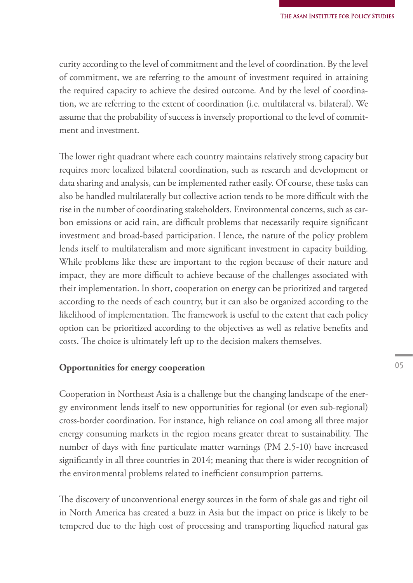curity according to the level of commitment and the level of coordination. By the level of commitment, we are referring to the amount of investment required in attaining the required capacity to achieve the desired outcome. And by the level of coordination, we are referring to the extent of coordination (i.e. multilateral vs. bilateral). We assume that the probability of success is inversely proportional to the level of commitment and investment.

The lower right quadrant where each country maintains relatively strong capacity but requires more localized bilateral coordination, such as research and development or data sharing and analysis, can be implemented rather easily. Of course, these tasks can also be handled multilaterally but collective action tends to be more difficult with the rise in the number of coordinating stakeholders. Environmental concerns, such as carbon emissions or acid rain, are difficult problems that necessarily require significant investment and broad-based participation. Hence, the nature of the policy problem lends itself to multilateralism and more significant investment in capacity building. While problems like these are important to the region because of their nature and impact, they are more difficult to achieve because of the challenges associated with their implementation. In short, cooperation on energy can be prioritized and targeted according to the needs of each country, but it can also be organized according to the likelihood of implementation. The framework is useful to the extent that each policy option can be prioritized according to the objectives as well as relative benefits and costs. The choice is ultimately left up to the decision makers themselves.

#### **Opportunities for energy cooperation**

Cooperation in Northeast Asia is a challenge but the changing landscape of the energy environment lends itself to new opportunities for regional (or even sub-regional) cross-border coordination. For instance, high reliance on coal among all three major energy consuming markets in the region means greater threat to sustainability. The number of days with fine particulate matter warnings (PM 2.5-10) have increased significantly in all three countries in 2014; meaning that there is wider recognition of the environmental problems related to inefficient consumption patterns.

The discovery of unconventional energy sources in the form of shale gas and tight oil in North America has created a buzz in Asia but the impact on price is likely to be tempered due to the high cost of processing and transporting liquefied natural gas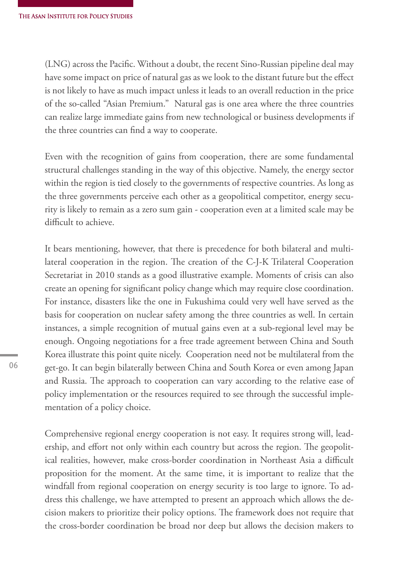(LNG) across the Pacific. Without a doubt, the recent Sino-Russian pipeline deal may have some impact on price of natural gas as we look to the distant future but the effect is not likely to have as much impact unless it leads to an overall reduction in the price of the so-called "Asian Premium." Natural gas is one area where the three countries can realize large immediate gains from new technological or business developments if the three countries can find a way to cooperate.

Even with the recognition of gains from cooperation, there are some fundamental structural challenges standing in the way of this objective. Namely, the energy sector within the region is tied closely to the governments of respective countries. As long as the three governments perceive each other as a geopolitical competitor, energy security is likely to remain as a zero sum gain - cooperation even at a limited scale may be difficult to achieve.

It bears mentioning, however, that there is precedence for both bilateral and multilateral cooperation in the region. The creation of the C-J-K Trilateral Cooperation Secretariat in 2010 stands as a good illustrative example. Moments of crisis can also create an opening for significant policy change which may require close coordination. For instance, disasters like the one in Fukushima could very well have served as the basis for cooperation on nuclear safety among the three countries as well. In certain instances, a simple recognition of mutual gains even at a sub-regional level may be enough. Ongoing negotiations for a free trade agreement between China and South Korea illustrate this point quite nicely. Cooperation need not be multilateral from the get-go. It can begin bilaterally between China and South Korea or even among Japan and Russia. The approach to cooperation can vary according to the relative ease of policy implementation or the resources required to see through the successful implementation of a policy choice.

Comprehensive regional energy cooperation is not easy. It requires strong will, leadership, and effort not only within each country but across the region. The geopolitical realities, however, make cross-border coordination in Northeast Asia a difficult proposition for the moment. At the same time, it is important to realize that the windfall from regional cooperation on energy security is too large to ignore. To address this challenge, we have attempted to present an approach which allows the decision makers to prioritize their policy options. The framework does not require that the cross-border coordination be broad nor deep but allows the decision makers to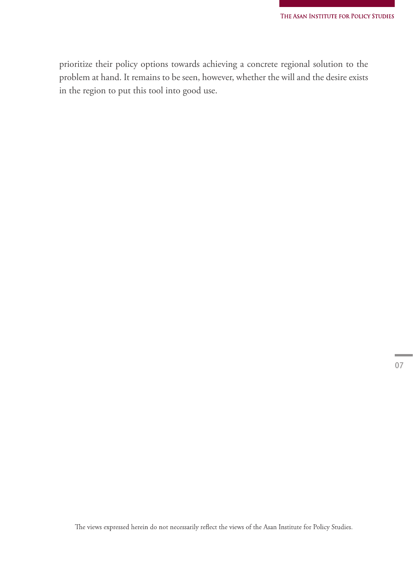prioritize their policy options towards achieving a concrete regional solution to the problem at hand. It remains to be seen, however, whether the will and the desire exists in the region to put this tool into good use.

The views expressed herein do not necessarily reflect the views of the Asan Institute for Policy Studies.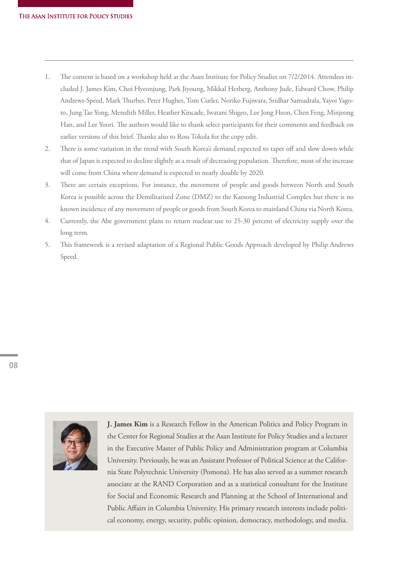- The content is based on a workshop held at the Asan Institute for Policy Studies on 7/2/2014. Attendees included J. James Kim, Choi Hyeonjung, Park Jiyoung, Mikkal Herberg, Anthony Jude, Edward Chow, Philip Andrews-Speed, Mark Thurber, Peter Hughes, Tom Cutler, Noriko Fujiwara, Sridhar Samudrala, Yayoi Yagoto, Jung Tae Yong, Meredith Miller, Heather Kincade, Iwatani Shigeo, Lee Jong Heon, Chen Feng, Minjeong Han, and Lee Yoori. The authors would like to thank select participants for their comments and feedback on earlier versions of this brief. Thanks also to Ross Tokola for the copy edit. 1.
- There is some variation in the trend with South Korea's demand expected to taper off and slow down while that of Japan is expected to decline slightly as a result of decreasing population. Therefore, most of the increase will come from China where demand is expected to nearly double by 2020. 2.
- There are certain exceptions. For instance, the movement of people and goods between North and South Korea is possible across the Demilitarized Zone (DMZ) to the Kaesong Industrial Complex but there is no known incidence of any movement of people or goods from South Korea to mainland China via North Korea. 3.
- Currently, the Abe government plans to return nuclear use to 25-30 percent of electricity supply over the long term. 4.
- This framework is a revised adaptation of a Regional Public Goods Approach developed by Philip Andrews Speed. 5.



**J. James Kim** is a Research Fellow in the American Politics and Policy Program in the Center for Regional Studies at the Asan Institute for Policy Studies and a lecturer in the Executive Master of Public Policy and Administration program at Columbia University. Previously, he was an Assistant Professor of Political Science at the California State Polytechnic University (Pomona). He has also served as a summer research associate at the RAND Corporation and as a statistical consultant for the Institute for Social and Economic Research and Planning at the School of International and Public Affairs in Columbia University. His primary research interests include political economy, energy, security, public opinion, democracy, methodology, and media.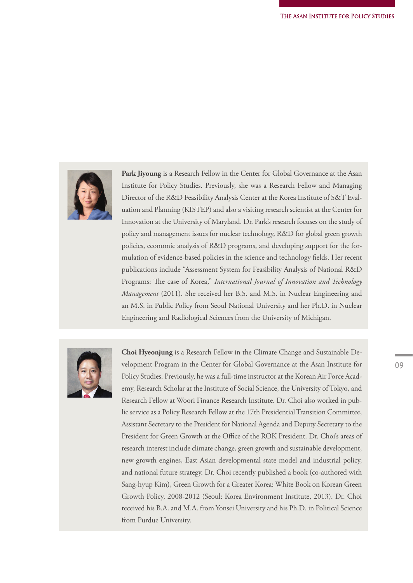

**Park Jiyoung** is a Research Fellow in the Center for Global Governance at the Asan Institute for Policy Studies. Previously, she was a Research Fellow and Managing Director of the R&D Feasibility Analysis Center at the Korea Institute of S&T Evaluation and Planning (KISTEP) and also a visiting research scientist at the Center for Innovation at the University of Maryland. Dr. Park's research focuses on the study of policy and management issues for nuclear technology, R&D for global green growth policies, economic analysis of R&D programs, and developing support for the formulation of evidence-based policies in the science and technology fields. Her recent publications include "Assessment System for Feasibility Analysis of National R&D Programs: The case of Korea," *International Journal of Innovation and Technology Management* (2011). She received her B.S. and M.S. in Nuclear Engineering and an M.S. in Public Policy from Seoul National University and her Ph.D. in Nuclear Engineering and Radiological Sciences from the University of Michigan.



**Choi Hyeonjung** is a Research Fellow in the Climate Change and Sustainable Development Program in the Center for Global Governance at the Asan Institute for Policy Studies. Previously, he was a full-time instructor at the Korean Air Force Academy, Research Scholar at the Institute of Social Science, the University of Tokyo, and Research Fellow at Woori Finance Research Institute. Dr. Choi also worked in public service as a Policy Research Fellow at the 17th Presidential Transition Committee, Assistant Secretary to the President for National Agenda and Deputy Secretary to the President for Green Growth at the Office of the ROK President. Dr. Choi's areas of research interest include climate change, green growth and sustainable development, new growth engines, East Asian developmental state model and industrial policy, and national future strategy. Dr. Choi recently published a book (co-authored with Sang-hyup Kim), Green Growth for a Greater Korea: White Book on Korean Green Growth Policy, 2008-2012 (Seoul: Korea Environment Institute, 2013). Dr. Choi received his B.A. and M.A. from Yonsei University and his Ph.D. in Political Science from Purdue University.